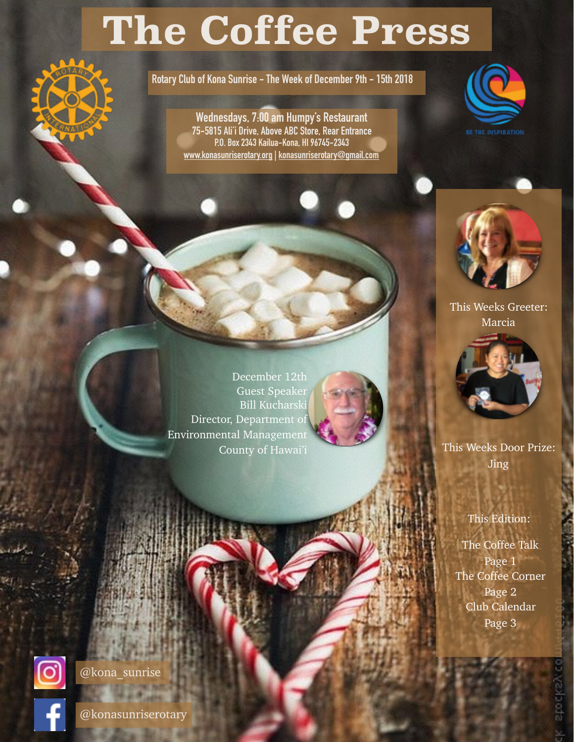# **The Coffee Press**

**Rotary Club of Kona Sunrise - The Week of December 9th - 15th 2018**

**Wednesdays, 7:00 am Humpy's Restaurant 75-5815 Ali'i Drive, Above ABC Store, Rear Entrance P.O. Box 2343 Kailua-Kona, HI 96745-2343 [www.konasunriserotary.org](http://www.konasunriserotary.org) | [konasunriserotary@gmail.com](mailto:konasunriserotary@gmail.com)**





This Weeks Greeter: Marcia



This Weeks Door Prize: Jing

#### This Edition:

The Coffee Talk Page 1 The Coffee Corner Page 2 Club Calendar Page 3

stockey

December 12th Guest Speaker Bill Kucharski Director, Department of Environmental Management County of Hawai'i





@kona\_sunrise

@konasunriserotary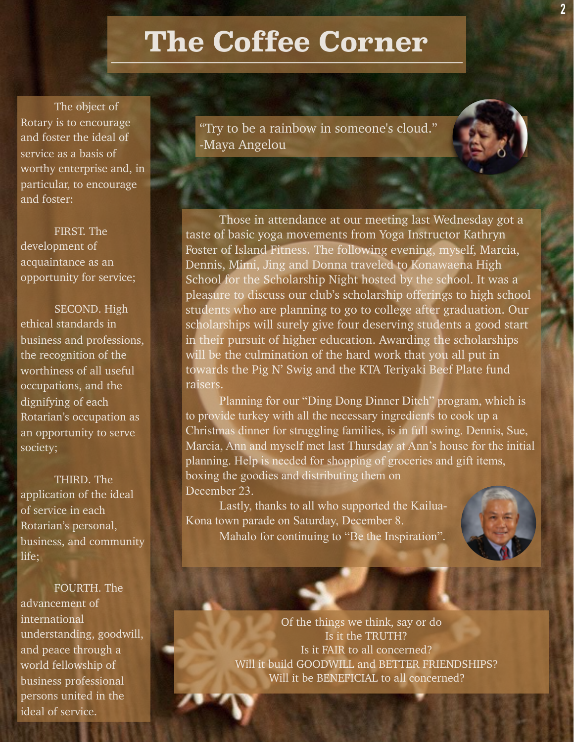## **The Coffee Corner**

The object of Rotary is to encourage and foster the ideal of service as a basis of worthy enterprise and, in particular, to encourage and foster:

FIRST. The development of acquaintance as an opportunity for service;

 SECOND. High ethical standards in business and professions, the recognition of the worthiness of all useful occupations, and the dignifying of each Rotarian's occupation as an opportunity to serve society;

THIRD. The application of the ideal of service in each Rotarian's personal, business, and community life;

FOURTH. The advancement of international understanding, goodwill, and peace through a world fellowship of business professional persons united in the ideal of service.

"Try to be a rainbow in someone's cloud." -Maya Angelou

Those in attendance at our meeting last Wednesday got a taste of basic yoga movements from Yoga Instructor Kathryn Foster of Island Fitness. The following evening, myself, Marcia, Dennis, Mimi, Jing and Donna traveled to Konawaena High School for the Scholarship Night hosted by the school. It was a pleasure to discuss our club's scholarship offerings to high school students who are planning to go to college after graduation. Our scholarships will surely give four deserving students a good start in their pursuit of higher education. Awarding the scholarships will be the culmination of the hard work that you all put in towards the Pig N' Swig and the KTA Teriyaki Beef Plate fund raisers.

Planning for our "Ding Dong Dinner Ditch" program, which is to provide turkey with all the necessary ingredients to cook up a Christmas dinner for struggling families, is in full swing. Dennis, Sue, Marcia, Ann and myself met last Thursday at Ann's house for the initial planning. Help is needed for shopping of groceries and gift items, boxing the goodies and distributing them on December 23.

Lastly, thanks to all who supported the Kailua-Kona town parade on Saturday, December 8. Mahalo for continuing to "Be the Inspiration".



Of the things we think, say or do Is it the TRUTH? Is it FAIR to all concerned? Will it build GOODWILL and BETTER FRIENDSHIPS? Will it be BENEFICIAL to all concerned?